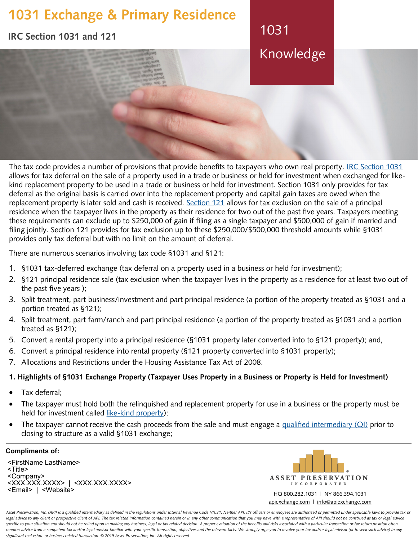# **1031 Exchange & Primary Residence**

**IRC Section 1031 and 121**

1031 Knowledge

The tax code provides a number of provisions that provide benefits to taxpayers who own real property[. IRC Section 1031](https://apiexchange.com/irc-section-1031/) allows for tax deferral on the sale of a property used in a trade or business or held for investment when exchanged for likekind replacement property to be used in a trade or business or held for investment. Section 1031 only provides for tax deferral as the original basis is carried over into the replacement property and capital gain taxes are owed when the replacement property is later sold and cash is received[. Section 121](https://apiexchange.com/irc-section-1031/) allows for tax exclusion on the sale of a principal residence when the taxpayer lives in the property as their residence for two out of the past five years. Taxpayers meeting these requirements can exclude up to \$250,000 of gain if filing as a single taxpayer and \$500,000 of gain if married and filing jointly. Section 121 provides for tax exclusion up to these \$250,000/\$500,000 threshold amounts while §1031 provides only tax deferral but with no limit on the amount of deferral.

There are numerous scenarios involving tax code §1031 and §121:

- 1. §1031 tax-deferred exchange (tax deferral on a property used in a business or held for investment);
- 2. §121 principal residence sale (tax exclusion when the taxpayer lives in the property as a residence for at least two out of the past five years );
- 3. Split treatment, part business/investment and part principal residence (a portion of the property treated as §1031 and a portion treated as §121);
- 4. Split treatment, part farm/ranch and part principal residence (a portion of the property treated as §1031 and a portion treated as §121);
- 5. Convert a rental property into a principal residence (§1031 property later converted into to §121 property); and,
- 6. Convert a principal residence into rental property (§121 property converted into §1031 property);
- 7. Allocations and Restrictions under the Housing Assistance Tax Act of 2008.

## **1. Highlights of §1031 Exchange Property (Taxpayer Uses Property in a Business or Property is Held for Investment)**

- Tax deferral;
- The taxpayer must hold both the relinquished and replacement property for use in a business or the property must be held for investment called like-[kind property\);](https://apiexchange.com/like-kind-property/)
- The taxpayer cannot receive the cash proceeds from the sale and must engage [a qualified intermediary \(QI\)](https://apiexchange.com/what-is-a-qualified-intermediary/) prior to closing to structure as a valid §1031 exchange;

### **Compliments of:**

<FirstName LastName> <Title> <Company> <XXX.XXX.XXXX> | <XXX.XXX.XXXX> <Email> | <Website>



HQ 800.282.1031 | NY 866.394.1031 [apiexchange.com](https://apiexchange.com) | [info@apiexchange.com](mailto:info@apiexchange.com)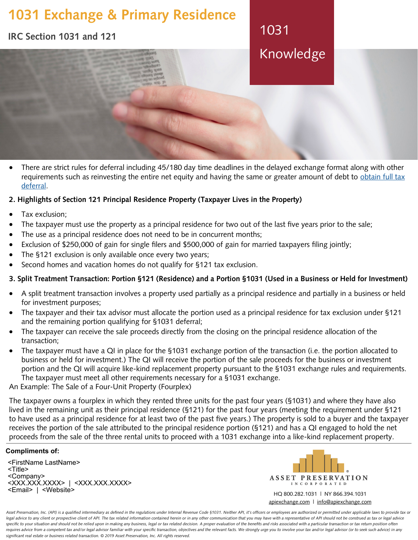# **1031 Exchange & Primary Residence**

**IRC Section 1031 and 121**

1031 Knowledge

 There are strict rules for deferral including 45/180 day time deadlines in the delayed exchange format along with other requirements such as reinvesting the entire net equity and having the same or greater amount of debt to obtain full tax [deferral.](https://apiexchange.com/requirements-for-full-tax-deferral/)

## **2. Highlights of Section 121 Principal Residence Property (Taxpayer Lives in the Property)**

- Tax exclusion;
- The taxpayer must use the property as a principal residence for two out of the last five years prior to the sale;
- The use as a principal residence does not need to be in concurrent months;
- Exclusion of \$250,000 of gain for single filers and \$500,000 of gain for married taxpayers filing jointly;
- The §121 exclusion is only available once every two years;
- Second homes and vacation homes do not qualify for §121 tax exclusion.

## **3. Split Treatment Transaction: Portion §121 (Residence) and a Portion §1031 (Used in a Business or Held for Investment)**

- A split treatment transaction involves a property used partially as a principal residence and partially in a business or held for investment purposes;
- The taxpayer and their tax advisor must allocate the portion used as a principal residence for tax exclusion under §121 and the remaining portion qualifying for §1031 deferral;
- The taxpayer can receive the sale proceeds directly from the closing on the principal residence allocation of the transaction;
- The taxpayer must have a QI in place for the §1031 exchange portion of the transaction (i.e. the portion allocated to business or held for investment.) The QI will receive the portion of the sale proceeds for the business or investment portion and the QI will acquire like-kind replacement property pursuant to the §1031 exchange rules and requirements. The taxpayer must meet all other requirements necessary for a §1031 exchange.

An Example: The Sale of a Four-Unit Property (Fourplex)

The taxpayer owns a fourplex in which they rented three units for the past four years (§1031) and where they have also lived in the remaining unit as their principal residence (§121) for the past four years (meeting the requirement under §121 to have used as a principal residence for at least two of the past five years.) The property is sold to a buyer and the taxpayer receives the portion of the sale attributed to the principal residence portion (§121) and has a QI engaged to hold the net proceeds from the sale of the three rental units to proceed with a 1031 exchange into a like-kind replacement property.

### **Compliments of:**

<FirstName LastName> <Title> <Company> <XXX.XXX.XXXX> | <XXX.XXX.XXXX> <Email> | <Website>



HQ 800.282.1031 | NY 866.394.1031 [apiexchange.com](https://apiexchange.com) | [info@apiexchange.com](mailto:info@apiexchange.com)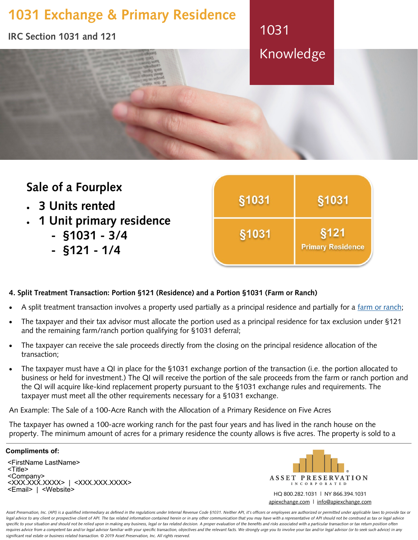

## **Sale of a Fourplex** §1031 §1031 **3 Units rented 1 Unit primary residence** §1031 §121 **- §1031 - 3/4 Primary Residence - §121 - 1/4**

# **4. Split Treatment Transaction: Portion §121 (Residence) and a Portion §1031 (Farm or Ranch)**

- A split treatment transaction involves a property used partially as a principal residence and partially for [a farm or ranch;](https://apiexchange.com/farm-and-ranch-exchanges/)
- The taxpayer and their tax advisor must allocate the portion used as a principal residence for tax exclusion under §121 and the remaining farm/ranch portion qualifying for §1031 deferral;
- The taxpayer can receive the sale proceeds directly from the closing on the principal residence allocation of the transaction;
- The taxpayer must have a QI in place for the §1031 exchange portion of the transaction (i.e. the portion allocated to business or held for investment.) The QI will receive the portion of the sale proceeds from the farm or ranch portion and the QI will acquire like-kind replacement property pursuant to the §1031 exchange rules and requirements. The taxpayer must meet all the other requirements necessary for a §1031 exchange.

An Example: The Sale of a 100-Acre Ranch with the Allocation of a Primary Residence on Five Acres

The taxpayer has owned a 100-acre working ranch for the past four years and has lived in the ranch house on the property. The minimum amount of acres for a primary residence the county allows is five acres. The property is sold to a

### **Compliments of:**

<FirstName LastName> <Title> <Company> <XXX.XXX.XXXX> | <XXX.XXX.XXXX> <Email> | <Website>



HQ 800.282.1031 | NY 866.394.1031 [apiexchange.com](https://apiexchange.com) | [info@apiexchange.com](mailto:info@apiexchange.com)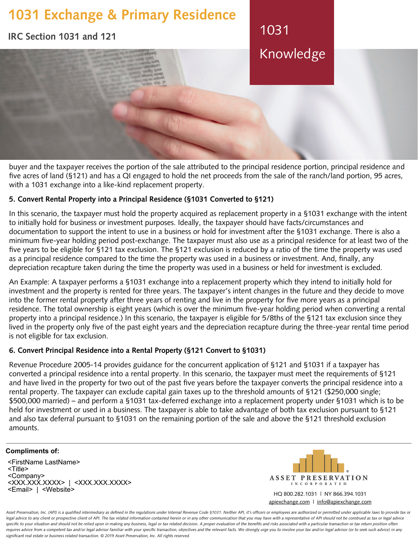# **1031 Exchange & Primary Residence**

**IRC Section 1031 and 121**

Knowledge

1031

buyer and the taxpayer receives the portion of the sale attributed to the principal residence portion, principal residence and five acres of land (§121) and has a QI engaged to hold the net proceeds from the sale of the ranch/land portion, 95 acres, with a 1031 exchange into a like-kind replacement property.

## **5. Convert Rental Property into a Principal Residence (§1031 Converted to §121)**

In this scenario, the taxpayer must hold the property acquired as replacement property in a §1031 exchange with the intent to initially hold for business or investment purposes. Ideally, the taxpayer should have facts/circumstances and documentation to support the intent to use in a business or hold for investment after the §1031 exchange. There is also a minimum five-year holding period post-exchange. The taxpayer must also use as a principal residence for at least two of the five years to be eligible for §121 tax exclusion. The §121 exclusion is reduced by a ratio of the time the property was used as a principal residence compared to the time the property was used in a business or investment. And, finally, any depreciation recapture taken during the time the property was used in a business or held for investment is excluded.

An Example: A taxpayer performs a §1031 exchange into a replacement property which they intend to initially hold for investment and the property is rented for three years. The taxpayer's intent changes in the future and they decide to move into the former rental property after three years of renting and live in the property for five more years as a principal residence. The total ownership is eight years (which is over the minimum five-year holding period when converting a rental property into a principal residence.) In this scenario, the taxpayer is eligible for 5/8ths of the §121 tax exclusion since they lived in the property only five of the past eight years and the depreciation recapture during the three-year rental time period is not eligible for tax exclusion.

## **6. Convert Principal Residence into a Rental Property (§121 Convert to §1031)**

Revenue Procedure 2005-14 provides guidance for the concurrent application of §121 and §1031 if a taxpayer has converted a principal residence into a rental property. In this scenario, the taxpayer must meet the requirements of §121 and have lived in the property for two out of the past five years before the taxpayer converts the principal residence into a rental property. The taxpayer can exclude capital gain taxes up to the threshold amounts of §121 (\$250,000 single; \$500,000 married) – and perform a §1031 tax-deferred exchange into a replacement property under §1031 which is to be held for investment or used in a business. The taxpayer is able to take advantage of both tax exclusion pursuant to §121 and also tax deferral pursuant to §1031 on the remaining portion of the sale and above the §121 threshold exclusion amounts.

# **Compliments of:**

<FirstName LastName> <Title> <Company> <XXX.XXX.XXXX> | <XXX.XXX.XXXX> <Email> | <Website>



HQ 800.282.1031 | NY 866.394.1031 [apiexchange.com](https://apiexchange.com) | [info@apiexchange.com](mailto:info@apiexchange.com)